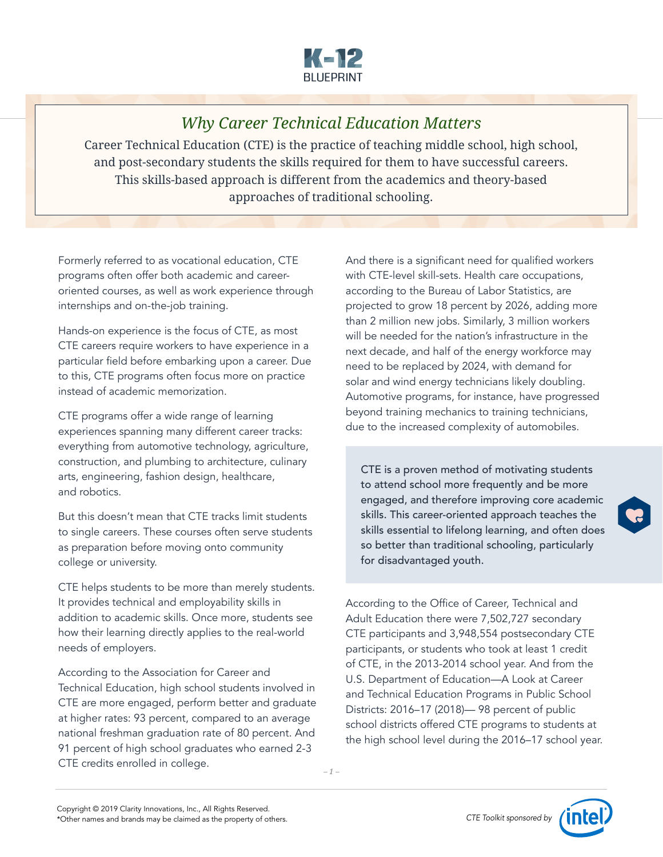

## *Why Career Technical Education Matters*

Career Technical Education (CTE) is the practice of teaching middle school, high school, and post-secondary students the skills required for them to have successful careers. This skills-based approach is different from the academics and theory-based approaches of traditional schooling.

Formerly referred to as vocational education, CTE programs often offer both academic and careeroriented courses, as well as work experience through internships and on-the-job training.

Hands-on experience is the focus of CTE, as most CTE careers require workers to have experience in a particular field before embarking upon a career. Due to this, CTE programs often focus more on practice instead of academic memorization.

CTE programs offer a wide range of learning experiences spanning many different career tracks: everything from automotive technology, agriculture, construction, and plumbing to architecture, culinary arts, engineering, fashion design, healthcare, and robotics.

But this doesn't mean that CTE tracks limit students to single careers. These courses often serve students as preparation before moving onto community college or university.

CTE helps students to be more than merely students. It provides technical and employability skills in addition to academic skills. Once more, students see how their learning directly applies to the real-world needs of employers.

According to the Association for Career and Technical Education, high school students involved in CTE are more engaged, perform better and graduate at higher rates: 93 percent, compared to an average national freshman graduation rate of 80 percent. And 91 percent of high school graduates who earned 2-3 CTE credits enrolled in college.

And there is a significant need for qualified workers with CTE-level skill-sets. Health care occupations, according to the Bureau of Labor Statistics, are projected to grow 18 percent by 2026, adding more than 2 million new jobs. Similarly, 3 million workers will be needed for the nation's infrastructure in the next decade, and half of the energy workforce may need to be replaced by 2024, with demand for solar and wind energy technicians likely doubling. Automotive programs, for instance, have progressed beyond training mechanics to training technicians, due to the increased complexity of automobiles.

CTE is a proven method of motivating students to attend school more frequently and be more engaged, and therefore improving core academic skills. This career-oriented approach teaches the skills essential to lifelong learning, and often does so better than traditional schooling, particularly for disadvantaged youth.

According to the Office of Career, Technical and Adult Education there were 7,502,727 secondary CTE participants and 3,948,554 postsecondary CTE participants, or students who took at least 1 credit of CTE, in the 2013-2014 school year. And from the U.S. Department of Education—A Look at Career and Technical Education Programs in Public School Districts: 2016–17 (2018)— 98 percent of public school districts offered CTE programs to students at the high school level during the 2016–17 school year.